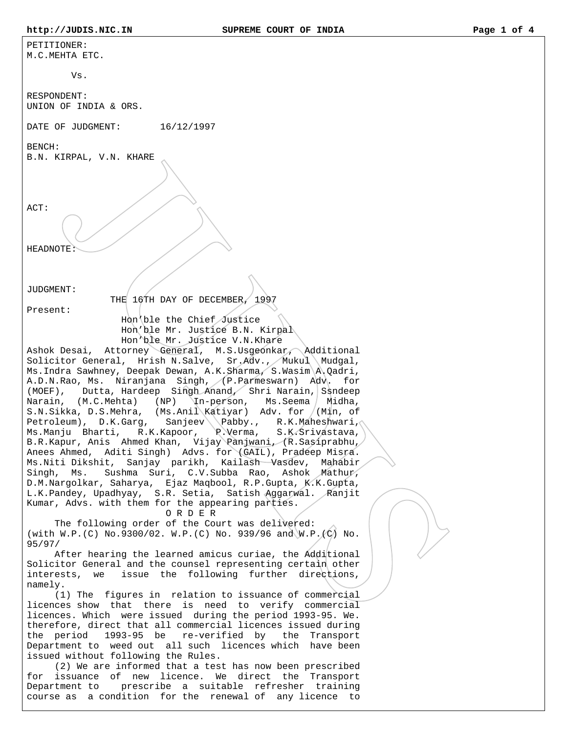| PETITIONER:<br>M.C.MEHTA ETC.                                                                                                                                                                                                                                                                                                                                                                                                                                                                                                                                                                                                                                                                                                                                                                                                                                                                                                                                                                              |
|------------------------------------------------------------------------------------------------------------------------------------------------------------------------------------------------------------------------------------------------------------------------------------------------------------------------------------------------------------------------------------------------------------------------------------------------------------------------------------------------------------------------------------------------------------------------------------------------------------------------------------------------------------------------------------------------------------------------------------------------------------------------------------------------------------------------------------------------------------------------------------------------------------------------------------------------------------------------------------------------------------|
| Vs.                                                                                                                                                                                                                                                                                                                                                                                                                                                                                                                                                                                                                                                                                                                                                                                                                                                                                                                                                                                                        |
| RESPONDENT:<br>UNION OF INDIA & ORS.                                                                                                                                                                                                                                                                                                                                                                                                                                                                                                                                                                                                                                                                                                                                                                                                                                                                                                                                                                       |
| DATE OF JUDGMENT: $16/12/1997$                                                                                                                                                                                                                                                                                                                                                                                                                                                                                                                                                                                                                                                                                                                                                                                                                                                                                                                                                                             |
| BENCH:<br>B.N. KIRPAL, V.N. KHARE                                                                                                                                                                                                                                                                                                                                                                                                                                                                                                                                                                                                                                                                                                                                                                                                                                                                                                                                                                          |
| ACT:<br><b>HEADNOTE</b>                                                                                                                                                                                                                                                                                                                                                                                                                                                                                                                                                                                                                                                                                                                                                                                                                                                                                                                                                                                    |
| JUDGMENT:                                                                                                                                                                                                                                                                                                                                                                                                                                                                                                                                                                                                                                                                                                                                                                                                                                                                                                                                                                                                  |
| THE 16TH DAY OF DECEMBER, 1997<br>Present:<br>Hon ble the Chief Justice<br>Hon'ble Mr. Justice B.N. Kirpal<br>Hon'ble Mr. Justice V.N.Khare                                                                                                                                                                                                                                                                                                                                                                                                                                                                                                                                                                                                                                                                                                                                                                                                                                                                |
| Ashok Desai, Attorney General, M.S.Usgeonkar, Additional<br>Solicitor General, Hrish N.Salve, Sr.Adv., Mukul Mudgal,<br>Ms. Indra Sawhney, Deepak Dewan, A.K. Sharma, S.Wasim A. Qadri,<br>A.D.N.Rao, Ms. Niranjana Singh, (P.Parmeswarn) Adv. for<br>(MOEF), Dutta, Hardeep Singh Anand, Shri Narain, Ssndeep<br>Narain, (M.C.Mehta) (NP) In-person, Ms.Seema<br>Midha,<br>S.N.Sikka, D.S.Mehra, (Ms.Anil Katiyar) Adv. for /(Min, of<br>Petroleum), D.K.Garg, Sanjeev \\Pabby., R.K.Maheshwari,<br>Ms.Manju Bharti, R.K.Kapoor, P.Verma,<br>S.K.Srivastava,<br>B.R.Kapur, Anis Ahmed Khan, Vijay Panjwani, (R.Sasiprabhu,<br>Anees Ahmed, Aditi Singh) Advs. for (GAIL), Pradeep Misra.<br>Ms. Niti Dikshit, Sanjay parikh, Kailash Vasdev, Mahabir<br>Sushma Suri, C.V.Subba Rao, Ashok Mathur,<br>Singh, Ms.<br>D.M.Nargolkar, Saharya, Ejaz Maqbool, R.P.Gupta, K.K.Gupta,<br>L.K.Pandey, Upadhyay, S.R. Setia, Satish Aggarwal. Ranjit<br>Kumar, Advs. with them for the appearing parties.<br>ORDER |
| The following order of the Court was delivered:<br>(with W.P. (C) No.9300/02. W.P. (C) No. 939/96 and W.P. (C) No.<br>95/97/<br>After hearing the learned amicus curiae, the Additional<br>Solicitor General and the counsel representing certain other<br>issue the following further directions,<br>interests, we                                                                                                                                                                                                                                                                                                                                                                                                                                                                                                                                                                                                                                                                                        |
| namely.<br>(1) The figures in relation to issuance of commercial<br>licences show that there is need to verify commercial<br>licences. Which were issued during the period 1993-95. We.<br>therefore, direct that all commercial licences issued during<br>the period<br>1993-95 be re-verified by the Transport<br>Department to weed out all such licences which have been<br>issued without following the Rules.<br>(2) We are informed that a test has now been prescribed                                                                                                                                                                                                                                                                                                                                                                                                                                                                                                                             |
| for issuance of new licence. We direct the Transport<br>prescribe a suitable refresher training<br>Department to<br>course as a condition for the renewal of any licence to                                                                                                                                                                                                                                                                                                                                                                                                                                                                                                                                                                                                                                                                                                                                                                                                                                |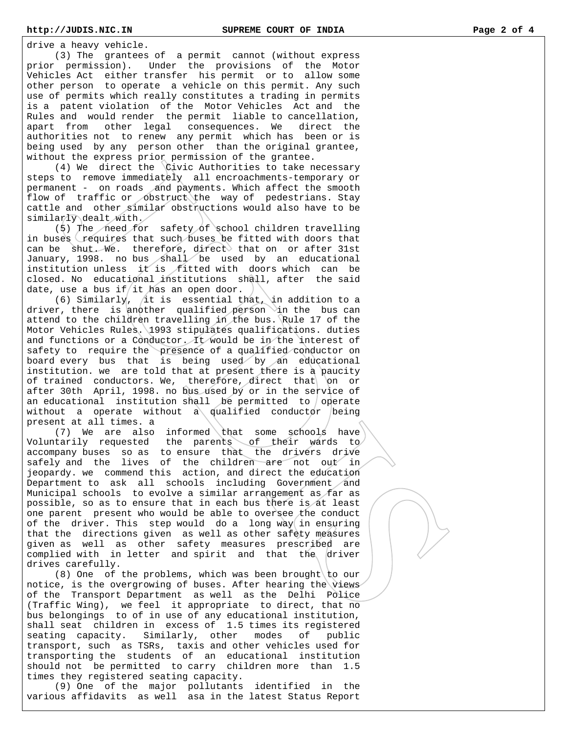drive a heavy vehicle.

 (3) The grantees of a permit cannot (without express prior permission). Under the provisions of the Motor Vehicles Act either transfer his permit or to allow some other person to operate a vehicle on this permit. Any such use of permits which really constitutes a trading in permits is a patent violation of the Motor Vehicles Act and the Rules and would render the permit liable to cancellation, apart from other legal consequences. We direct the authorities not to renew any permit which has been or is being used by any person other than the original grantee, without the express prior permission of the grantee.

 (4) We direct the Civic Authorities to take necessary steps to remove immediately all encroachments-temporary or permanent - on roads and payments. Which affect the smooth flow of traffic or obstruct the way of pedestrians. Stay cattle and other similar obstructions would also have to be similarly dealt with.

(5) The need for safety of school children travelling in buses requires that such buses be fitted with doors that can be shut. We. therefore, direct that on or after 31st January, 1998. no bus shall be used by an educational institution unless it is fitted with doors which can be closed. No educational institutions shall, after the said date, use a bus if it has an open door.

(6) Similarly,  $\int$ it is essential that, in addition to a driver, there is another qualified person in the bus can attend to the children travelling in the bus. Rule 17 of the Motor Vehicles Rules. 1993 stipulates qualifications. duties and functions or a Conductor. It would be in the interest of safety to require the presence of a qualified conductor on board every bus that is being used by an educational institution. we are told that at present there is a paucity of trained conductors. We, therefore, direct that on or after 30th April, 1998. no bus used by or in the service of an educational institution shall be permitted to operate without a operate without a qualified conductor being present at all times. a

(7) We are also informed that some schools have Voluntarily requested the parents of their wards to accompany buses so as to ensure that the drivers drive safely and the lives of the children are not out in jeopardy. we commend this action, and direct the education Department to ask all schools including Government and Municipal schools to evolve a similar arrangement as far as possible, so as to ensure that in each bus there is at least one parent present who would be able to oversee the conduct of the driver. This step would do a long way in ensuring that the directions given as well as other safety measures given as well as other safety measures prescribed are complied with in letter and spirit and that the driver drives carefully.

(8) One of the problems, which was been brought to our notice, is the overgrowing of buses. After hearing the views of the Transport Department as well as the Delhi Police (Traffic Wing), we feel it appropriate to direct, that no bus belongings to of in use of any educational institution, shall seat children in excess of 1.5 times its registered seating capacity. Similarly, other modes of public transport, such as TSRs, taxis and other vehicles used for transporting the students of an educational institution should not be permitted to carry children more than 1.5 times they registered seating capacity.

 (9) One of the major pollutants identified in the various affidavits as well asa in the latest Status Report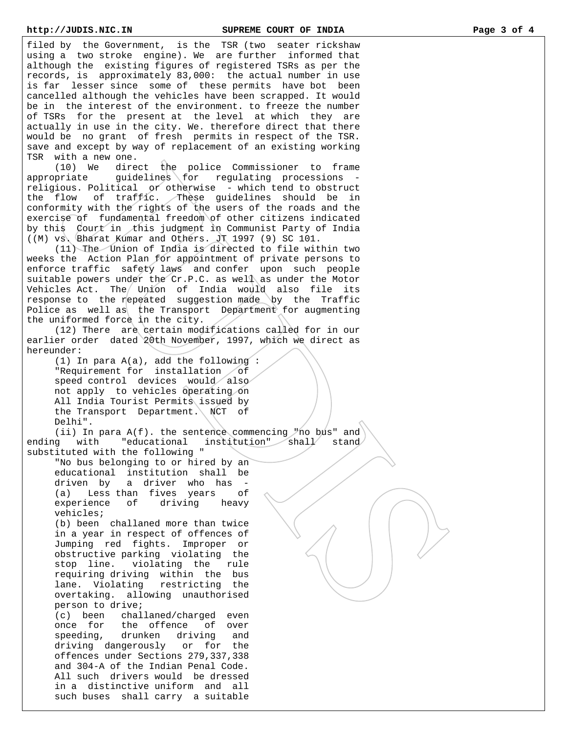filed by the Government, is the TSR (two seater rickshaw using a two stroke engine). We are further informed that although the existing figures of registered TSRs as per the records, is approximately 83,000: the actual number in use is far lesser since some of these permits have bot been cancelled although the vehicles have been scrapped. It would be in the interest of the environment. to freeze the number of TSRs for the present at the level at which they are actually in use in the city. We. therefore direct that there would be no grant of fresh permits in respect of the TSR. save and except by way of replacement of an existing working TSR with a new one.

 (10) We direct the police Commissioner to frame  $approx$   $=$   $\frac{1}{2}$   $\frac{1}{2}$   $\frac{1}{2}$   $\frac{1}{2}$   $\frac{1}{2}$   $\frac{1}{2}$   $\frac{1}{2}$   $\frac{1}{2}$   $\frac{1}{2}$   $\frac{1}{2}$   $\frac{1}{2}$   $\frac{1}{2}$   $\frac{1}{2}$   $\frac{1}{2}$   $\frac{1}{2}$   $\frac{1}{2}$   $\frac{1}{2}$   $\frac{1}{2}$   $\frac{1}{2}$   $\frac{1}{2}$   $\frac{1}{2}$   $\frac$ religious. Political or otherwise - which tend to obstruct the flow of traffic. These guidelines should be in conformity with the rights of the users of the roads and the exercise of fundamental freedom of other citizens indicated by this Court in this judgment in Communist Party of India ((M) vs. Bharat Kumar and Others. JT 1997 (9) SC 101.

 (11) The Union of India is directed to file within two weeks the Action Plan for appointment of private persons to enforce traffic safety laws and confer upon such people suitable powers under the Cr.P.C. as well as under the Motor Vehicles Act. The Union of India would also file its response to the repeated suggestion made by the Traffic Police as well as the Transport Department for augmenting the uniformed force in the city.

(12) There are certain modifications called for in our earlier order dated 20th November, 1997, which we direct as hereunder:

 (1) In para A(a), add the following : "Requirement for installation of speed control devices would also not apply to vehicles operating on All India Tourist Permits issued by the Transport Department. NCT of Delhi".

(ii) In para  $A(f)$ . the sentence commencing "no bus" and ending with "educational institution" shall stand substituted with the following "

 "No bus belonging to or hired by an educational institution shall be driven by a driver who has - (a) Less than fives years of experience of driving heavy vehicles;

 (b) been challaned more than twice in a year in respect of offences of Jumping red fights. Improper or obstructive parking violating the stop line. violating the rule requiring driving within the bus lane. Violating restricting the overtaking. allowing unauthorised person to drive;

 (c) been challaned/charged even once for the offence of over speeding, drunken driving and driving dangerously or for the offences under Sections 279,337,338 and 304-A of the Indian Penal Code. All such drivers would be dressed in a distinctive uniform and all such buses shall carry a suitable